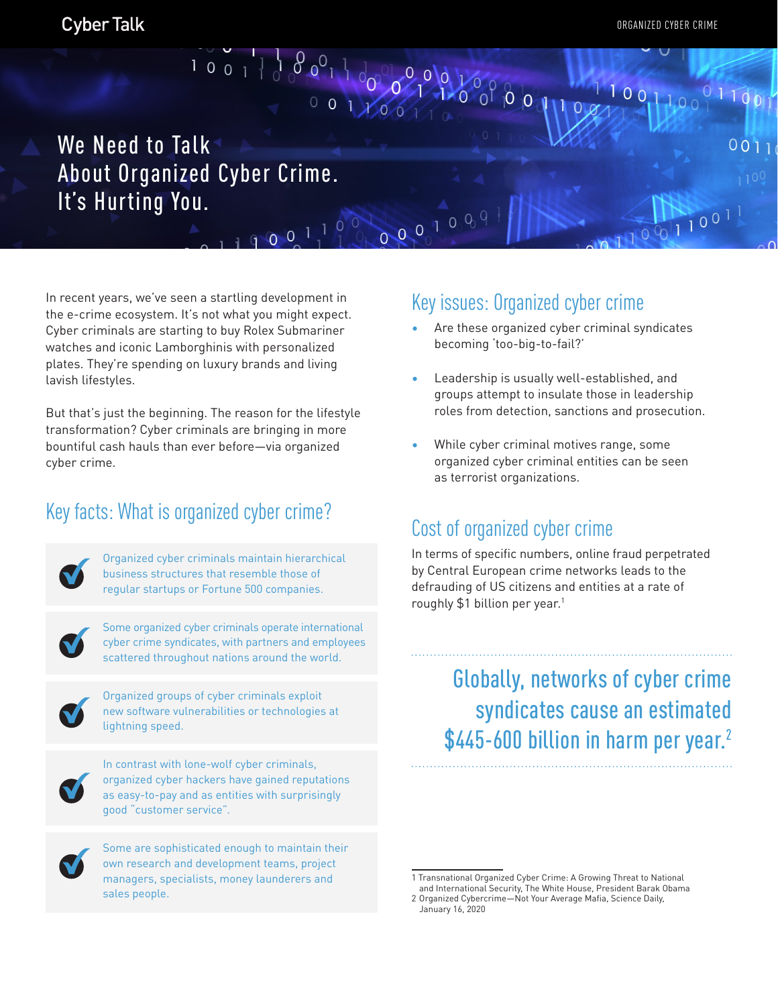$1001100$ 

 $01100$ 

 $^{1001}$ 

 $001$ 

# We Need to Talk About Organized Cyber Crime. It's Hurting You.

001100

 $00^{1}$ 

00000009

In recent years, we've seen a startling development in the e-crime ecosystem. It's not what you might expect. Cyber criminals are starting to buy Rolex Submariner watches and iconic Lamborghinis with personalized plates. They're spending on luxury brands and living lavish lifestyles.

But that's just the beginning. The reason for the lifestyle transformation? Cyber criminals are bringing in more bountiful cash hauls than ever before—via organized cyber crime.

## Key facts: What is organized cyber crime?



Organized cyber criminals maintain hierarchical business structures that resemble those of regular startups or Fortune 500 companies.



Some organized cyber criminals operate international cyber crime syndicates, with partners and employees scattered throughout nations around the world.



Organized groups of cyber criminals exploit new software vulnerabilities or technologies at lightning speed.



In contrast with lone-wolf cyber criminals, organized cyber hackers have gained reputations as easy-to-pay and as entities with surprisingly good "customer service".



Some are sophisticated enough to maintain their own research and development teams, project managers, specialists, money launderers and sales people.

#### Key issues: Organized cyber crime

- Are these organized cyber criminal syndicates becoming 'too-big-to-fail?'
- Leadership is usually well-established, and groups attempt to insulate those in leadership roles from detection, sanctions and prosecution.
- While cyber criminal motives range, some organized cyber criminal entities can be seen as terrorist organizations.

## Cost of organized cyber crime

In terms of specific numbers, online fraud perpetrated by Central European crime networks leads to the defrauding of US citizens and entities at a rate of roughly  $$1$  billion per year.<sup>1</sup>

> Globally, networks of cyber crime syndicates cause an estimated \$445-600 billion in harm per year.<sup>2</sup>

<sup>1</sup> Transnational Organized Cyber Crime: A Growing Threat to National

and International Security, The White House, President Barak Obama 2 Organized Cybercrime—Not Your Average Mafia, Science Daily,

January 16, 2020